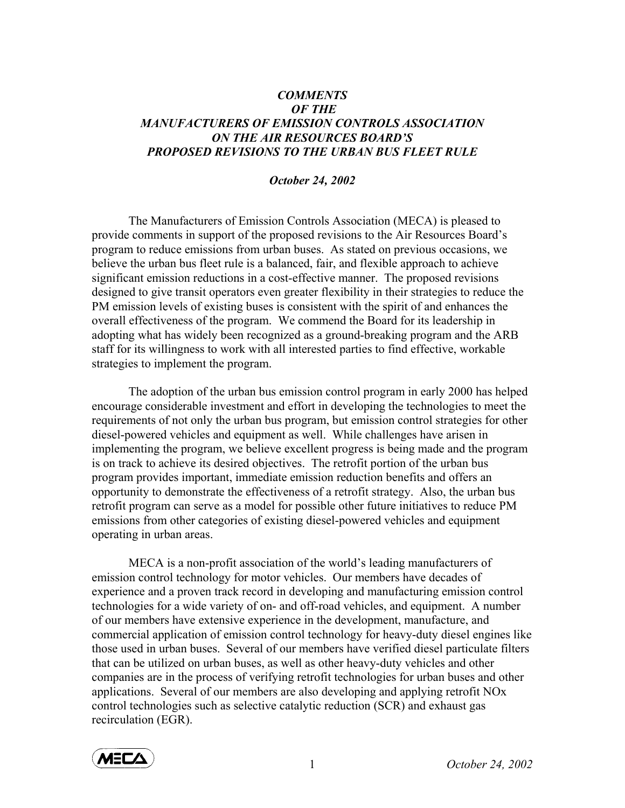## *COMMENTS OF THE MANUFACTURERS OF EMISSION CONTROLS ASSOCIATION ON THE AIR RESOURCES BOARD'S PROPOSED REVISIONS TO THE URBAN BUS FLEET RULE*

## *October 24, 2002*

The Manufacturers of Emission Controls Association (MECA) is pleased to provide comments in support of the proposed revisions to the Air Resources Board's program to reduce emissions from urban buses. As stated on previous occasions, we believe the urban bus fleet rule is a balanced, fair, and flexible approach to achieve significant emission reductions in a cost-effective manner. The proposed revisions designed to give transit operators even greater flexibility in their strategies to reduce the PM emission levels of existing buses is consistent with the spirit of and enhances the overall effectiveness of the program. We commend the Board for its leadership in adopting what has widely been recognized as a ground-breaking program and the ARB staff for its willingness to work with all interested parties to find effective, workable strategies to implement the program.

 The adoption of the urban bus emission control program in early 2000 has helped encourage considerable investment and effort in developing the technologies to meet the requirements of not only the urban bus program, but emission control strategies for other diesel-powered vehicles and equipment as well. While challenges have arisen in implementing the program, we believe excellent progress is being made and the program is on track to achieve its desired objectives. The retrofit portion of the urban bus program provides important, immediate emission reduction benefits and offers an opportunity to demonstrate the effectiveness of a retrofit strategy. Also, the urban bus retrofit program can serve as a model for possible other future initiatives to reduce PM emissions from other categories of existing diesel-powered vehicles and equipment operating in urban areas.

 MECA is a non-profit association of the world's leading manufacturers of emission control technology for motor vehicles. Our members have decades of experience and a proven track record in developing and manufacturing emission control technologies for a wide variety of on- and off-road vehicles, and equipment. A number of our members have extensive experience in the development, manufacture, and commercial application of emission control technology for heavy-duty diesel engines like those used in urban buses. Several of our members have verified diesel particulate filters that can be utilized on urban buses, as well as other heavy-duty vehicles and other companies are in the process of verifying retrofit technologies for urban buses and other applications. Several of our members are also developing and applying retrofit NOx control technologies such as selective catalytic reduction (SCR) and exhaust gas recirculation (EGR).



1 *October 24, 2002*